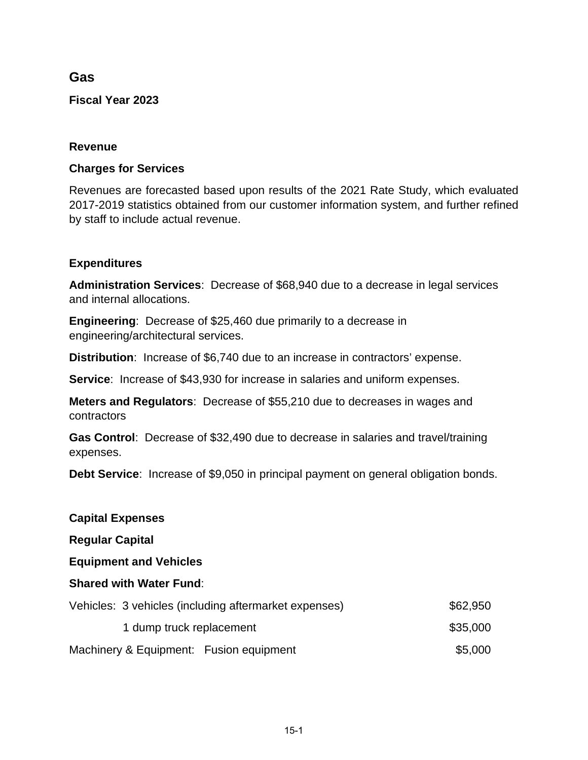# **Gas**

**Fiscal Year 2023**

### **Revenue**

### **Charges for Services**

Revenues are forecasted based upon results of the 2021 Rate Study, which evaluated 2017-2019 statistics obtained from our customer information system, and further refined by staff to include actual revenue.

### **Expenditures**

**Administration Services**: Decrease of \$68,940 due to a decrease in legal services and internal allocations.

**Engineering**: Decrease of \$25,460 due primarily to a decrease in engineering/architectural services.

**Distribution**: Increase of \$6,740 due to an increase in contractors' expense.

**Service:** Increase of \$43,930 for increase in salaries and uniform expenses.

**Meters and Regulators**: Decrease of \$55,210 due to decreases in wages and contractors

**Gas Control**: Decrease of \$32,490 due to decrease in salaries and travel/training expenses.

**Debt Service**: Increase of \$9,050 in principal payment on general obligation bonds.

| <b>Capital Expenses</b>                               |          |  |  |  |  |  |  |
|-------------------------------------------------------|----------|--|--|--|--|--|--|
| <b>Regular Capital</b>                                |          |  |  |  |  |  |  |
| <b>Equipment and Vehicles</b>                         |          |  |  |  |  |  |  |
| <b>Shared with Water Fund:</b>                        |          |  |  |  |  |  |  |
| Vehicles: 3 vehicles (including aftermarket expenses) | \$62,950 |  |  |  |  |  |  |
| 1 dump truck replacement                              | \$35,000 |  |  |  |  |  |  |
| Machinery & Equipment: Fusion equipment               | \$5,000  |  |  |  |  |  |  |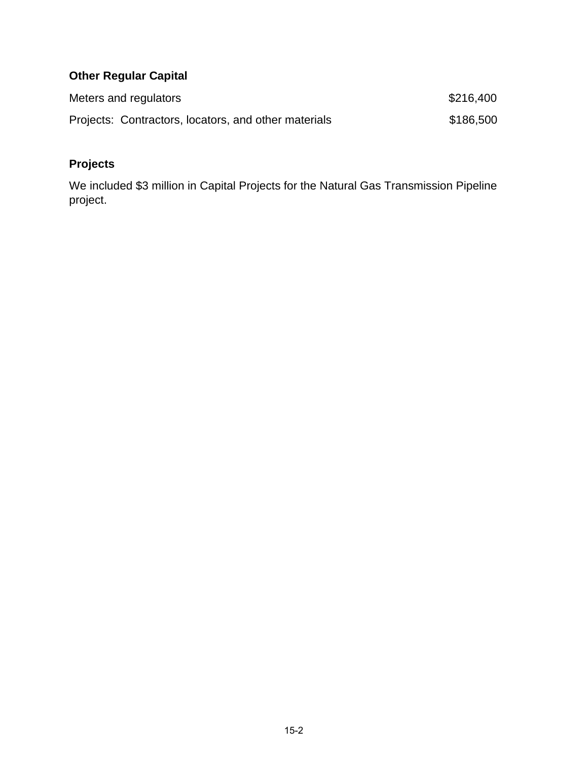# **Other Regular Capital**

| Meters and regulators                                | \$216,400 |
|------------------------------------------------------|-----------|
| Projects: Contractors, locators, and other materials | \$186,500 |

# **Projects**

We included \$3 million in Capital Projects for the Natural Gas Transmission Pipeline project.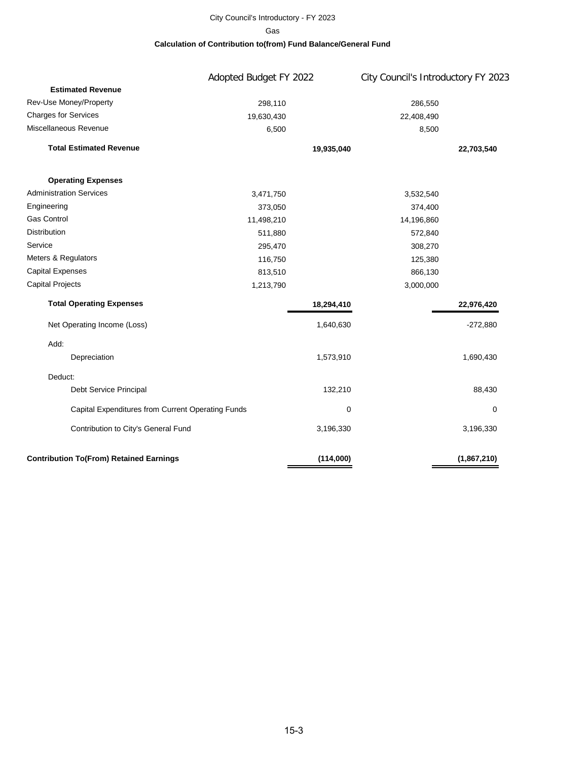#### City Council's Introductory - FY 2023 **Calculation of Contribution to(from) Fund Balance/General Fund** Gas

|                                                   | Adopted Budget FY 2022 |            | City Council's Introductory FY 2023 |             |  |
|---------------------------------------------------|------------------------|------------|-------------------------------------|-------------|--|
| <b>Estimated Revenue</b>                          |                        |            |                                     |             |  |
| Rev-Use Money/Property                            | 298,110                |            | 286,550                             |             |  |
| <b>Charges for Services</b>                       | 19,630,430             |            | 22,408,490                          |             |  |
| Miscellaneous Revenue                             | 6,500                  |            | 8,500                               |             |  |
| <b>Total Estimated Revenue</b>                    |                        | 19,935,040 |                                     | 22,703,540  |  |
| <b>Operating Expenses</b>                         |                        |            |                                     |             |  |
| <b>Administration Services</b>                    | 3,471,750              |            | 3,532,540                           |             |  |
| Engineering                                       | 373,050                |            | 374,400                             |             |  |
| <b>Gas Control</b>                                | 11,498,210             |            | 14,196,860                          |             |  |
| Distribution                                      | 511,880                |            | 572,840                             |             |  |
| Service                                           | 295,470                |            | 308,270                             |             |  |
| Meters & Regulators                               | 116,750                |            | 125,380                             |             |  |
| <b>Capital Expenses</b>                           | 813,510                |            | 866,130                             |             |  |
| <b>Capital Projects</b>                           | 1,213,790              |            | 3,000,000                           |             |  |
| <b>Total Operating Expenses</b>                   |                        | 18,294,410 |                                     | 22,976,420  |  |
| Net Operating Income (Loss)                       |                        | 1,640,630  |                                     | $-272,880$  |  |
| Add:                                              |                        |            |                                     |             |  |
| Depreciation                                      |                        | 1,573,910  |                                     | 1,690,430   |  |
| Deduct:                                           |                        |            |                                     |             |  |
| Debt Service Principal                            |                        | 132,210    |                                     | 88,430      |  |
| Capital Expenditures from Current Operating Funds |                        | 0          |                                     | 0           |  |
| Contribution to City's General Fund               |                        | 3,196,330  |                                     | 3,196,330   |  |
| <b>Contribution To(From) Retained Earnings</b>    |                        | (114,000)  |                                     | (1,867,210) |  |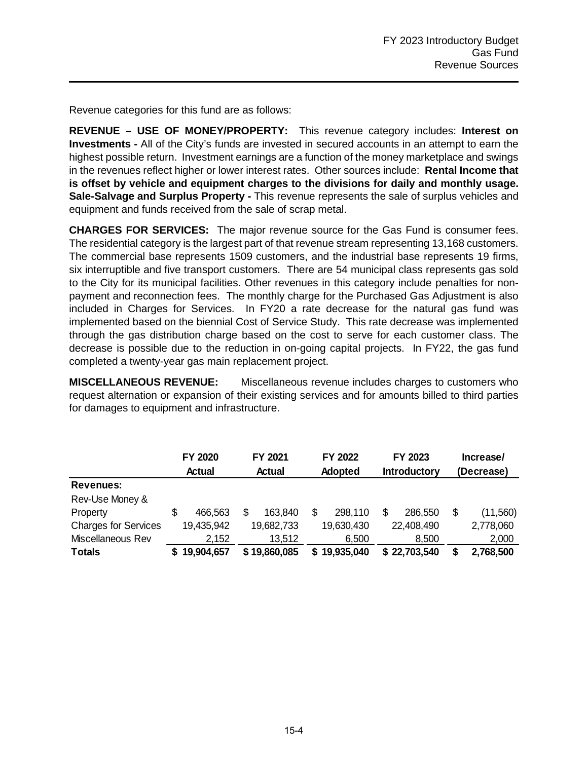Revenue categories for this fund are as follows:

**REVENUE – USE OF MONEY/PROPERTY:** This revenue category includes: **Interest on Investments -** All of the City's funds are invested in secured accounts in an attempt to earn the highest possible return. Investment earnings are a function of the money marketplace and swings in the revenues reflect higher or lower interest rates. Other sources include: **Rental Income that is offset by vehicle and equipment charges to the divisions for daily and monthly usage. Sale-Salvage and Surplus Property -** This revenue represents the sale of surplus vehicles and equipment and funds received from the sale of scrap metal.

**CHARGES FOR SERVICES:** The major revenue source for the Gas Fund is consumer fees. The residential category is the largest part of that revenue stream representing 13,168 customers. The commercial base represents 1509 customers, and the industrial base represents 19 firms, six interruptible and five transport customers. There are 54 municipal class represents gas sold to the City for its municipal facilities. Other revenues in this category include penalties for nonpayment and reconnection fees. The monthly charge for the Purchased Gas Adjustment is also included in Charges for Services. In FY20 a rate decrease for the natural gas fund was implemented based on the biennial Cost of Service Study. This rate decrease was implemented through the gas distribution charge based on the cost to serve for each customer class. The decrease is possible due to the reduction in on-going capital projects. In FY22, the gas fund completed a twenty-year gas main replacement project.

**MISCELLANEOUS REVENUE:** Miscellaneous revenue includes charges to customers who request alternation or expansion of their existing services and for amounts billed to third parties for damages to equipment and infrastructure.

|                             | FY 2020 |            |  |               |  | FY 2021<br>FY 2022 |                     |              |    |            |  | FY 2023 |  | Increase/ |  |  |
|-----------------------------|---------|------------|--|---------------|--|--------------------|---------------------|--------------|----|------------|--|---------|--|-----------|--|--|
|                             |         | Actual     |  | <b>Actual</b> |  | Adopted            | <b>Introductory</b> |              |    | (Decrease) |  |         |  |           |  |  |
| Revenues:                   |         |            |  |               |  |                    |                     |              |    |            |  |         |  |           |  |  |
| Rev-Use Money &             |         |            |  |               |  |                    |                     |              |    |            |  |         |  |           |  |  |
| Property                    | S       | 466,563    |  | 163.840       |  | 298,110            |                     | 286,550      | \$ | (11,560)   |  |         |  |           |  |  |
| <b>Charges for Services</b> |         | 19,435,942 |  | 19,682,733    |  | 19,630,430         |                     | 22,408,490   |    | 2,778,060  |  |         |  |           |  |  |
| Miscellaneous Rev           |         | 2,152      |  | 13,512        |  | 6,500              |                     | 8,500        |    | 2,000      |  |         |  |           |  |  |
| <b>Totals</b>               |         | 19,904,657 |  | \$19,860,085  |  | 19,935,040         |                     | \$22,703,540 | S  | 2,768,500  |  |         |  |           |  |  |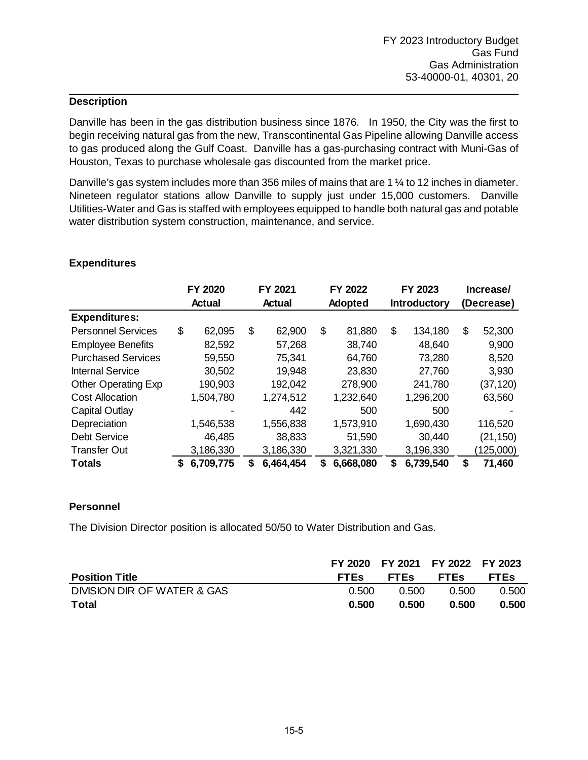Danville has been in the gas distribution business since 1876. In 1950, the City was the first to begin receiving natural gas from the new, Transcontinental Gas Pipeline allowing Danville access to gas produced along the Gulf Coast. Danville has a gas-purchasing contract with Muni-Gas of Houston, Texas to purchase wholesale gas discounted from the market price.

Danville's gas system includes more than 356 miles of mains that are 1 ¼ to 12 inches in diameter. Nineteen regulator stations allow Danville to supply just under 15,000 customers. Danville Utilities-Water and Gas is staffed with employees equipped to handle both natural gas and potable water distribution system construction, maintenance, and service.

|                            |    | FY 2020       |               | FY 2021   |                | FY 2022   |    | FY 2023             |            | Increase/ |
|----------------------------|----|---------------|---------------|-----------|----------------|-----------|----|---------------------|------------|-----------|
|                            |    | <b>Actual</b> | <b>Actual</b> |           | <b>Adopted</b> |           |    | <b>Introductory</b> | (Decrease) |           |
| <b>Expenditures:</b>       |    |               |               |           |                |           |    |                     |            |           |
| <b>Personnel Services</b>  | \$ | 62,095        | \$            | 62,900    | \$             | 81,880    | \$ | 134,180             | \$         | 52,300    |
| <b>Employee Benefits</b>   |    | 82,592        |               | 57,268    |                | 38,740    |    | 48,640              |            | 9,900     |
| <b>Purchased Services</b>  |    | 59,550        |               | 75,341    |                | 64,760    |    | 73,280              |            | 8,520     |
| <b>Internal Service</b>    |    | 30,502        |               | 19,948    |                | 23,830    |    | 27,760              |            | 3,930     |
| <b>Other Operating Exp</b> |    | 190,903       |               | 192,042   |                | 278,900   |    | 241,780             |            | (37, 120) |
| <b>Cost Allocation</b>     |    | 1,504,780     |               | 1,274,512 |                | 1,232,640 |    | 1,296,200           |            | 63,560    |
| Capital Outlay             |    |               |               | 442       |                | 500       |    | 500                 |            |           |
| Depreciation               |    | 1,546,538     |               | 1,556,838 |                | 1,573,910 |    | 1,690,430           |            | 116,520   |
| <b>Debt Service</b>        |    | 46,485        |               | 38,833    |                | 51,590    |    | 30,440              |            | (21, 150) |
| <b>Transfer Out</b>        |    | 3,186,330     |               | 3,186,330 |                | 3,321,330 |    | 3,196,330           |            | (125,000) |
| <b>Totals</b>              | S  | 6,709,775     | S             | 6,464,454 | S.             | 6,668,080 | S  | 6,739,540           | \$         | 71,460    |

#### **Expenditures**

#### **Personnel**

The Division Director position is allocated 50/50 to Water Distribution and Gas.

|                             |             | FY 2020 FY 2021 FY 2022 FY 2023 |             |             |
|-----------------------------|-------------|---------------------------------|-------------|-------------|
| <b>Position Title</b>       | <b>FTES</b> | <b>FTES</b>                     | <b>FTES</b> | <b>FTES</b> |
| DIVISION DIR OF WATER & GAS | 0.500       | 0.500                           | 0.500       | 0.500       |
| Total                       | 0.500       | 0.500                           | 0.500       | 0.500       |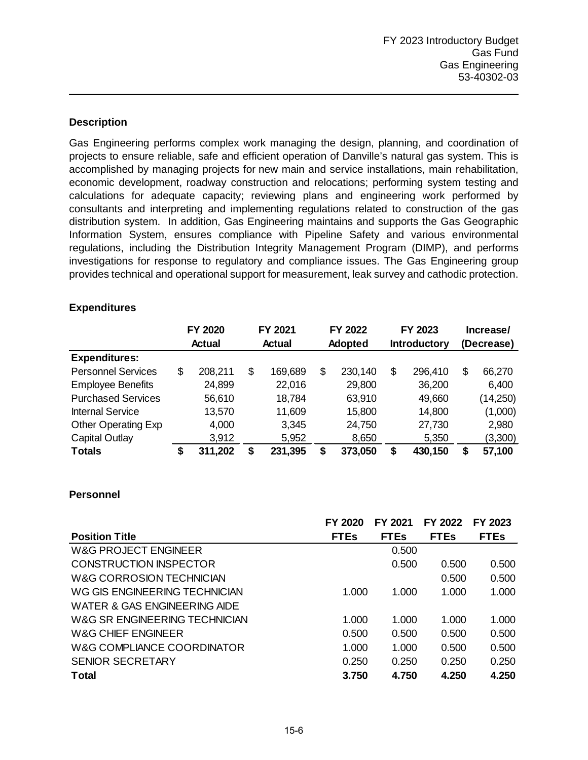Gas Engineering performs complex work managing the design, planning, and coordination of projects to ensure reliable, safe and efficient operation of Danville's natural gas system. This is accomplished by managing projects for new main and service installations, main rehabilitation, economic development, roadway construction and relocations; performing system testing and calculations for adequate capacity; reviewing plans and engineering work performed by consultants and interpreting and implementing regulations related to construction of the gas distribution system. In addition, Gas Engineering maintains and supports the Gas Geographic Information System, ensures compliance with Pipeline Safety and various environmental regulations, including the Distribution Integrity Management Program (DIMP), and performs investigations for response to regulatory and compliance issues. The Gas Engineering group provides technical and operational support for measurement, leak survey and cathodic protection.

#### **Expenditures**

|                            |    |         |    | FY 2020 |    | FY 2021 | FY 2022<br>FY 2023  |         |            |           |  |  |  | Increase/ |
|----------------------------|----|---------|----|---------|----|---------|---------------------|---------|------------|-----------|--|--|--|-----------|
|                            |    | Actual  |    | Actual  |    | Adopted | <b>Introductory</b> |         | (Decrease) |           |  |  |  |           |
| <b>Expenditures:</b>       |    |         |    |         |    |         |                     |         |            |           |  |  |  |           |
| <b>Personnel Services</b>  | \$ | 208,211 | \$ | 169,689 | \$ | 230,140 | \$                  | 296,410 | \$         | 66,270    |  |  |  |           |
| <b>Employee Benefits</b>   |    | 24,899  |    | 22,016  |    | 29,800  |                     | 36,200  |            | 6,400     |  |  |  |           |
| <b>Purchased Services</b>  |    | 56,610  |    | 18,784  |    | 63,910  |                     | 49,660  |            | (14, 250) |  |  |  |           |
| <b>Internal Service</b>    |    | 13,570  |    | 11,609  |    | 15,800  |                     | 14,800  |            | (1,000)   |  |  |  |           |
| <b>Other Operating Exp</b> |    | 4,000   |    | 3,345   |    | 24,750  |                     | 27,730  |            | 2,980     |  |  |  |           |
| <b>Capital Outlay</b>      |    | 3,912   |    | 5,952   |    | 8,650   |                     | 5,350   |            | (3,300)   |  |  |  |           |
| <b>Totals</b>              | \$ | 311,202 | \$ | 231,395 | \$ | 373,050 | \$                  | 430,150 | \$         | 57,100    |  |  |  |           |

#### **Personnel**

|                               | FY 2020     | FY 2021     | <b>FY 2022</b> | FY 2023     |
|-------------------------------|-------------|-------------|----------------|-------------|
| <b>Position Title</b>         | <b>FTEs</b> | <b>FTEs</b> | <b>FTEs</b>    | <b>FTEs</b> |
| W&G PROJECT ENGINEER          |             | 0.500       |                |             |
| CONSTRUCTION INSPECTOR        |             | 0.500       | 0.500          | 0.500       |
| W&G CORROSION TECHNICIAN      |             |             | 0.500          | 0.500       |
| WG GIS ENGINEERING TECHNICIAN | 1.000       | 1.000       | 1.000          | 1.000       |
| WATER & GAS ENGINEERING AIDE  |             |             |                |             |
| W&G SR ENGINEERING TECHNICIAN | 1.000       | 1.000       | 1.000          | 1.000       |
| W&G CHIEF ENGINEER            | 0.500       | 0.500       | 0.500          | 0.500       |
| W&G COMPLIANCE COORDINATOR    | 1.000       | 1.000       | 0.500          | 0.500       |
| <b>SENIOR SECRETARY</b>       | 0.250       | 0.250       | 0.250          | 0.250       |
| Total                         | 3.750       | 4.750       | 4.250          | 4.250       |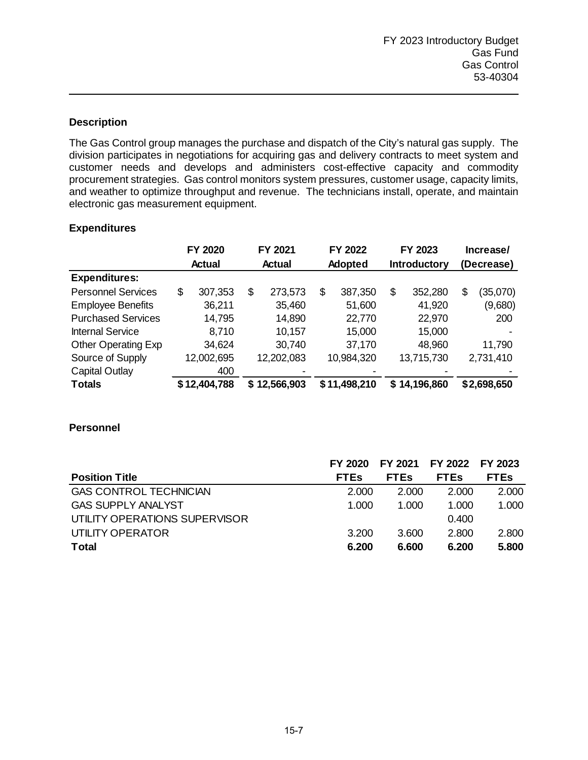The Gas Control group manages the purchase and dispatch of the City's natural gas supply. The division participates in negotiations for acquiring gas and delivery contracts to meet system and customer needs and develops and administers cost-effective capacity and commodity procurement strategies. Gas control monitors system pressures, customer usage, capacity limits, and weather to optimize throughput and revenue. The technicians install, operate, and maintain electronic gas measurement equipment.

#### **Expenditures**

|                            | FY 2020                                   |    | FY 2021      |    | FY 2022      | FY 2023             |              |            | Increase/   |
|----------------------------|-------------------------------------------|----|--------------|----|--------------|---------------------|--------------|------------|-------------|
|                            | <b>Adopted</b><br><b>Actual</b><br>Actual |    |              |    |              | <b>Introductory</b> |              | (Decrease) |             |
| <b>Expenditures:</b>       |                                           |    |              |    |              |                     |              |            |             |
| <b>Personnel Services</b>  | \$<br>307,353                             | \$ | 273,573      | \$ | 387,350      | \$                  | 352,280      | \$         | (35,070)    |
| <b>Employee Benefits</b>   | 36,211                                    |    | 35,460       |    | 51,600       |                     | 41,920       |            | (9,680)     |
| <b>Purchased Services</b>  | 14,795                                    |    | 14,890       |    | 22,770       |                     | 22,970       |            | 200         |
| <b>Internal Service</b>    | 8,710                                     |    | 10,157       |    | 15,000       |                     | 15,000       |            |             |
| <b>Other Operating Exp</b> | 34,624                                    |    | 30,740       |    | 37,170       |                     | 48,960       |            | 11,790      |
| Source of Supply           | 12,002,695                                |    | 12,202,083   |    | 10,984,320   |                     | 13,715,730   |            | 2,731,410   |
| <b>Capital Outlay</b>      | 400                                       |    |              |    |              |                     |              |            |             |
| <b>Totals</b>              | \$12,404,788                              |    | \$12,566,903 |    | \$11,498,210 |                     | \$14,196,860 |            | \$2,698,650 |

### **Personnel**

|                               | FY 2020     | FY 2021 FY 2022 FY 2023 |             |             |
|-------------------------------|-------------|-------------------------|-------------|-------------|
| <b>Position Title</b>         | <b>FTEs</b> | <b>FTES</b>             | <b>FTEs</b> | <b>FTEs</b> |
| <b>GAS CONTROL TECHNICIAN</b> | 2.000       | 2.000                   | 2.000       | 2.000       |
| <b>GAS SUPPLY ANALYST</b>     | 1.000       | 1.000                   | 1.000       | 1.000       |
| UTILITY OPERATIONS SUPERVISOR |             |                         | 0.400       |             |
| UTILITY OPERATOR              | 3.200       | 3.600                   | 2.800       | 2.800       |
| <b>Total</b>                  | 6.200       | 6.600                   | 6.200       | 5.800       |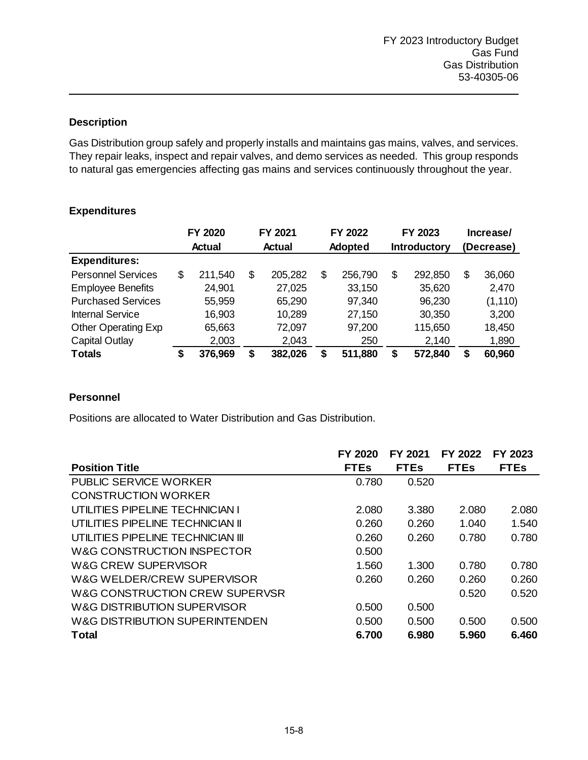Gas Distribution group safely and properly installs and maintains gas mains, valves, and services. They repair leaks, inspect and repair valves, and demo services as needed. This group responds to natural gas emergencies affecting gas mains and services continuously throughout the year.

|                            |    | FY 2020       |    | FY 2021 |    | FY 2022 | FY 2023 |         |              | Increase/ |            |  |
|----------------------------|----|---------------|----|---------|----|---------|---------|---------|--------------|-----------|------------|--|
|                            |    | <b>Actual</b> |    | Actual  |    | Adopted |         |         | Introductory |           | (Decrease) |  |
| <b>Expenditures:</b>       |    |               |    |         |    |         |         |         |              |           |            |  |
| <b>Personnel Services</b>  | \$ | 211,540       | \$ | 205,282 | \$ | 256,790 | \$      | 292,850 | \$           | 36,060    |            |  |
| <b>Employee Benefits</b>   |    | 24,901        |    | 27,025  |    | 33,150  |         | 35,620  |              | 2,470     |            |  |
| <b>Purchased Services</b>  |    | 55,959        |    | 65,290  |    | 97,340  |         | 96,230  |              | (1, 110)  |            |  |
| <b>Internal Service</b>    |    | 16,903        |    | 10,289  |    | 27,150  |         | 30,350  |              | 3,200     |            |  |
| <b>Other Operating Exp</b> |    | 65,663        |    | 72,097  |    | 97,200  |         | 115,650 |              | 18,450    |            |  |
| <b>Capital Outlay</b>      |    | 2,003         |    | 2,043   |    | 250     |         | 2,140   |              | 1,890     |            |  |
| <b>Totals</b>              | \$ | 376,969       | \$ | 382,026 | \$ | 511,880 | \$      | 572,840 | \$           | 60,960    |            |  |

# **Expenditures**

### **Personnel**

Positions are allocated to Water Distribution and Gas Distribution.

|                                   | FY 2020     | FY 2021     | FY 2022     | FY 2023     |
|-----------------------------------|-------------|-------------|-------------|-------------|
| <b>Position Title</b>             | <b>FTEs</b> | <b>FTEs</b> | <b>FTEs</b> | <b>FTEs</b> |
| <b>PUBLIC SERVICE WORKER</b>      | 0.780       | 0.520       |             |             |
| <b>CONSTRUCTION WORKER</b>        |             |             |             |             |
| UTILITIES PIPELINE TECHNICIAN I   | 2.080       | 3.380       | 2.080       | 2.080       |
| UTILITIES PIPELINE TECHNICIAN II  | 0.260       | 0.260       | 1.040       | 1.540       |
| UTILITIES PIPELINE TECHNICIAN III | 0.260       | 0.260       | 0.780       | 0.780       |
| W&G CONSTRUCTION INSPECTOR        | 0.500       |             |             |             |
| W&G CREW SUPERVISOR               | 1.560       | 1.300       | 0.780       | 0.780       |
| W&G WELDER/CREW SUPERVISOR        | 0.260       | 0.260       | 0.260       | 0.260       |
| W&G CONSTRUCTION CREW SUPERVSR    |             |             | 0.520       | 0.520       |
| W&G DISTRIBUTION SUPERVISOR       | 0.500       | 0.500       |             |             |
| W&G DISTRIBUTION SUPERINTENDEN    | 0.500       | 0.500       | 0.500       | 0.500       |
| <b>Total</b>                      | 6.700       | 6.980       | 5.960       | 6.460       |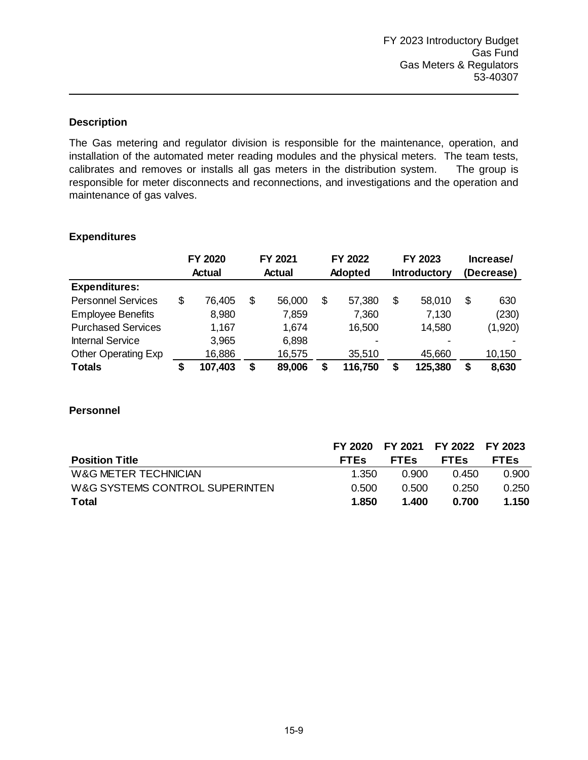The Gas metering and regulator division is responsible for the maintenance, operation, and installation of the automated meter reading modules and the physical meters. The team tests, calibrates and removes or installs all gas meters in the distribution system. The group is responsible for meter disconnects and reconnections, and investigations and the operation and maintenance of gas valves.

#### **Expenditures**

|                            | FY 2020<br><b>Actual</b> |         |               | FY 2021 |         | FY 2022 | FY 2023             |         | Increase/  |         |
|----------------------------|--------------------------|---------|---------------|---------|---------|---------|---------------------|---------|------------|---------|
|                            |                          |         | <b>Actual</b> |         | Adopted |         | <b>Introductory</b> |         | (Decrease) |         |
| <b>Expenditures:</b>       |                          |         |               |         |         |         |                     |         |            |         |
| <b>Personnel Services</b>  | \$                       | 76,405  | \$            | 56,000  | \$      | 57,380  | \$                  | 58,010  | \$         | 630     |
| <b>Employee Benefits</b>   |                          | 8,980   |               | 7,859   |         | 7,360   |                     | 7,130   |            | (230)   |
| <b>Purchased Services</b>  |                          | 1,167   |               | 1,674   |         | 16,500  |                     | 14,580  |            | (1,920) |
| <b>Internal Service</b>    |                          | 3,965   |               | 6,898   |         |         |                     |         |            |         |
| <b>Other Operating Exp</b> |                          | 16,886  |               | 16,575  |         | 35,510  |                     | 45,660  |            | 10,150  |
| <b>Totals</b>              |                          | 107,403 | \$            | 89,006  | \$      | 116,750 | \$                  | 125,380 | \$         | 8,630   |

#### **Personnel**

|                                |             | FY 2020 FY 2021 FY 2022 FY 2023 |             |             |
|--------------------------------|-------------|---------------------------------|-------------|-------------|
| <b>Position Title</b>          | <b>FTES</b> | <b>FTES</b>                     | <b>FTES</b> | <b>FTES</b> |
| W&G METER TECHNICIAN           | 1.350       | 0.900                           | 0.450       | 0.900       |
| W&G SYSTEMS CONTROL SUPERINTEN | 0.500       | 0.500                           | 0.250       | 0.250       |
| Total                          | 1.850       | 1.400                           | 0.700       | 1.150       |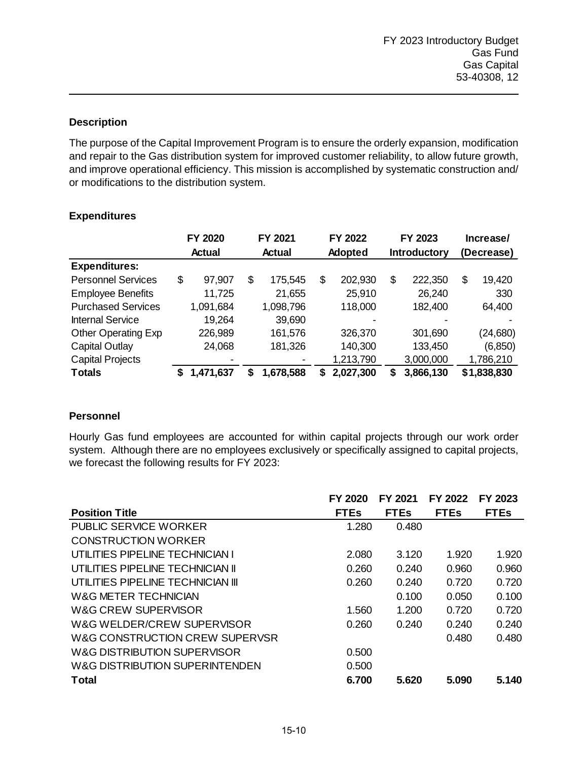The purpose of the Capital Improvement Program is to ensure the orderly expansion, modification and repair to the Gas distribution system for improved customer reliability, to allow future growth, and improve operational efficiency. This mission is accomplished by systematic construction and/ or modifications to the distribution system.

### **Expenditures**

|                            |    | FY 2020       | FY 2021 |           | FY 2022 |           | FY 2023             |           | Increase/  |             |
|----------------------------|----|---------------|---------|-----------|---------|-----------|---------------------|-----------|------------|-------------|
|                            |    | <b>Actual</b> | Actual  |           | Adopted |           | <b>Introductory</b> |           | (Decrease) |             |
| <b>Expenditures:</b>       |    |               |         |           |         |           |                     |           |            |             |
| <b>Personnel Services</b>  | \$ | 97,907        | \$      | 175,545   | \$      | 202,930   | \$                  | 222,350   | \$         | 19,420      |
| <b>Employee Benefits</b>   |    | 11,725        |         | 21,655    |         | 25,910    |                     | 26,240    |            | 330         |
| <b>Purchased Services</b>  |    | 1,091,684     |         | 1,098,796 |         | 118,000   |                     | 182,400   |            | 64,400      |
| <b>Internal Service</b>    |    | 19,264        |         | 39,690    |         |           |                     |           |            |             |
| <b>Other Operating Exp</b> |    | 226,989       |         | 161,576   |         | 326,370   |                     | 301,690   |            | (24,680)    |
| <b>Capital Outlay</b>      |    | 24,068        |         | 181,326   |         | 140,300   |                     | 133,450   |            | (6, 850)    |
| <b>Capital Projects</b>    |    |               |         |           |         | 1,213,790 |                     | 3,000,000 |            | 1,786,210   |
| <b>Totals</b>              | 5  | 1,471,637     | S       | 1,678,588 | S       | 2,027,300 | S                   | 3,866,130 |            | \$1,838,830 |

### **Personnel**

Hourly Gas fund employees are accounted for within capital projects through our work order system. Although there are no employees exclusively or specifically assigned to capital projects, we forecast the following results for FY 2023:

|                                   | FY 2020     | FY 2021     | FY 2022     | FY 2023     |
|-----------------------------------|-------------|-------------|-------------|-------------|
| <b>Position Title</b>             | <b>FTEs</b> | <b>FTEs</b> | <b>FTEs</b> | <b>FTEs</b> |
| PUBLIC SERVICE WORKER             | 1.280       | 0.480       |             |             |
| CONSTRUCTION WORKER               |             |             |             |             |
| UTILITIES PIPELINE TECHNICIAN I   | 2.080       | 3.120       | 1.920       | 1.920       |
| UTILITIES PIPELINE TECHNICIAN II  | 0.260       | 0.240       | 0.960       | 0.960       |
| UTILITIES PIPELINE TECHNICIAN III | 0.260       | 0.240       | 0.720       | 0.720       |
| W&G METER TECHNICIAN              |             | 0.100       | 0.050       | 0.100       |
| W&G CREW SUPERVISOR               | 1.560       | 1.200       | 0.720       | 0.720       |
| W&G WELDER/CREW SUPERVISOR        | 0.260       | 0.240       | 0.240       | 0.240       |
| W&G CONSTRUCTION CREW SUPERVSR    |             |             | 0.480       | 0.480       |
| W&G DISTRIBUTION SUPERVISOR       | 0.500       |             |             |             |
| W&G DISTRIBUTION SUPERINTENDEN    | 0.500       |             |             |             |
| Total                             | 6.700       | 5.620       | 5.090       | 5.140       |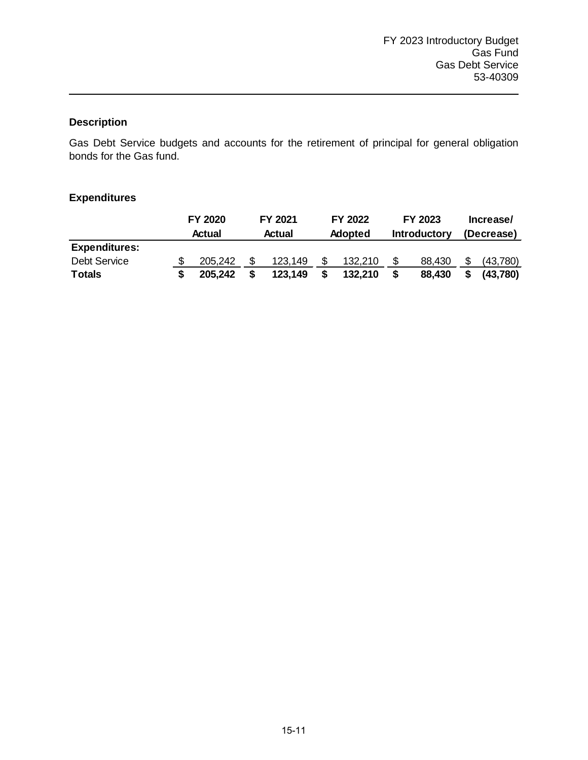Gas Debt Service budgets and accounts for the retirement of principal for general obligation bonds for the Gas fund.

### **Expenditures**

|                      | FY 2020<br><b>Actual</b> | FY 2021<br><b>Actual</b> |    | FY 2022<br>Adopted |     | FY 2023<br><b>Introductory</b> |     | Increase/<br>(Decrease) |
|----------------------|--------------------------|--------------------------|----|--------------------|-----|--------------------------------|-----|-------------------------|
| <b>Expenditures:</b> |                          |                          |    |                    |     |                                |     |                         |
| <b>Debt Service</b>  | 205.242                  | 123,149                  | S  | 132,210            | \$. | 88.430                         | \$. | (43,780)                |
| <b>Totals</b>        | 205,242                  | 123,149                  | \$ | 132,210            | \$  | 88,430                         | \$  | (43,780)                |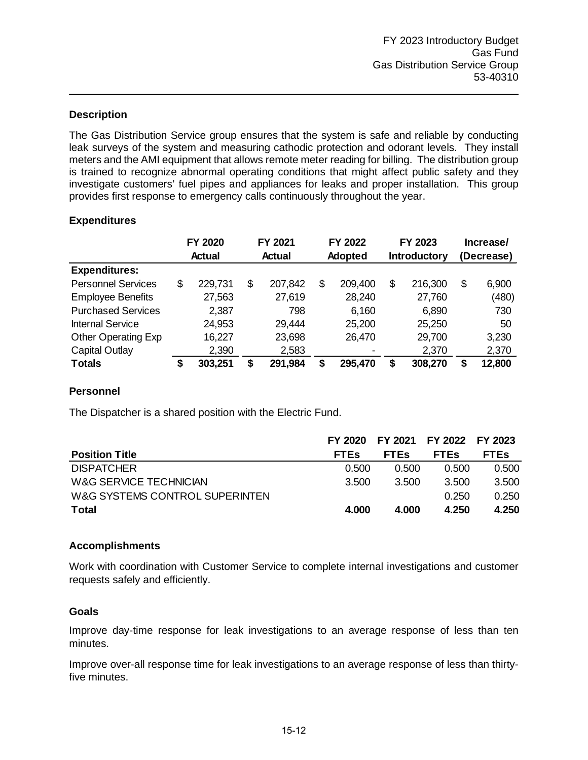The Gas Distribution Service group ensures that the system is safe and reliable by conducting leak surveys of the system and measuring cathodic protection and odorant levels. They install meters and the AMI equipment that allows remote meter reading for billing. The distribution group is trained to recognize abnormal operating conditions that might affect public safety and they investigate customers' fuel pipes and appliances for leaks and proper installation. This group provides first response to emergency calls continuously throughout the year.

#### **Expenditures**

|                            | FY 2020 |               |    | FY 2021<br><b>Actual</b> |    | FY 2022<br>Adopted |    | FY 2023<br>Introductory |    | Increase/<br>(Decrease) |  |
|----------------------------|---------|---------------|----|--------------------------|----|--------------------|----|-------------------------|----|-------------------------|--|
|                            |         | <b>Actual</b> |    |                          |    |                    |    |                         |    |                         |  |
| <b>Expenditures:</b>       |         |               |    |                          |    |                    |    |                         |    |                         |  |
| <b>Personnel Services</b>  | \$      | 229,731       | \$ | 207,842                  | \$ | 209,400            | \$ | 216,300                 | \$ | 6,900                   |  |
| <b>Employee Benefits</b>   |         | 27,563        |    | 27,619                   |    | 28,240             |    | 27,760                  |    | (480)                   |  |
| <b>Purchased Services</b>  |         | 2,387         |    | 798                      |    | 6,160              |    | 6,890                   |    | 730                     |  |
| <b>Internal Service</b>    |         | 24,953        |    | 29,444                   |    | 25,200             |    | 25,250                  |    | 50                      |  |
| <b>Other Operating Exp</b> |         | 16,227        |    | 23,698                   |    | 26,470             |    | 29,700                  |    | 3,230                   |  |
| <b>Capital Outlay</b>      |         | 2,390         |    | 2,583                    |    |                    |    | 2,370                   |    | 2,370                   |  |
| <b>Totals</b>              | \$      | 303,251       | \$ | 291,984                  | \$ | 295,470            | \$ | 308,270                 | \$ | 12,800                  |  |

#### **Personnel**

The Dispatcher is a shared position with the Electric Fund.

|                                | FY 2020     | FY 2021 FY 2022 FY 2023 |             |             |
|--------------------------------|-------------|-------------------------|-------------|-------------|
| <b>Position Title</b>          | <b>FTEs</b> | <b>FTEs</b>             | <b>FTES</b> | <b>FTES</b> |
| <b>DISPATCHER</b>              | 0.500       | 0.500                   | 0.500       | 0.500       |
| W&G SERVICE TECHNICIAN         | 3.500       | 3.500                   | 3.500       | 3.500       |
| W&G SYSTEMS CONTROL SUPERINTEN |             |                         | 0.250       | 0.250       |
| <b>Total</b>                   | 4.000       | 4.000                   | 4.250       | 4.250       |

#### **Accomplishments**

Work with coordination with Customer Service to complete internal investigations and customer requests safely and efficiently.

#### **Goals**

Improve day-time response for leak investigations to an average response of less than ten minutes.

Improve over-all response time for leak investigations to an average response of less than thirtyfive minutes.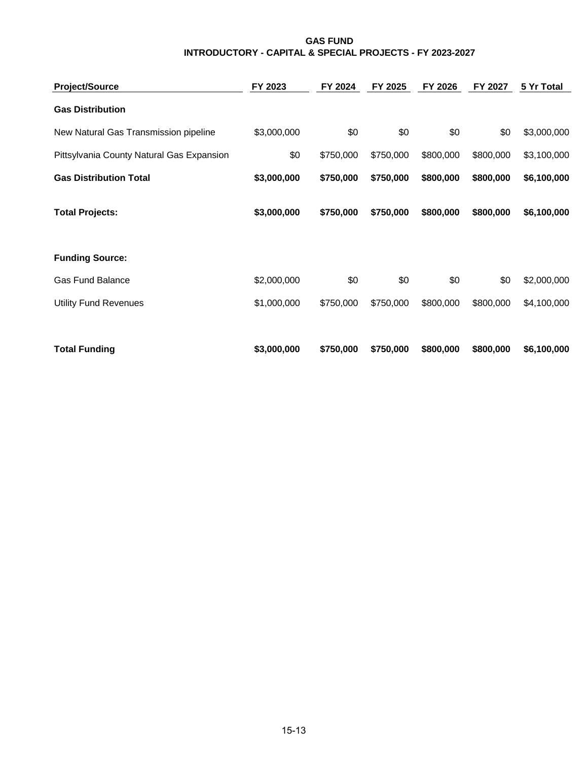#### **GAS FUND INTRODUCTORY - CAPITAL & SPECIAL PROJECTS - FY 2023-2027**

| <b>Project/Source</b>                     | FY 2023     | FY 2024   | FY 2025   | FY 2026   | FY 2027   | 5 Yr Total  |
|-------------------------------------------|-------------|-----------|-----------|-----------|-----------|-------------|
| <b>Gas Distribution</b>                   |             |           |           |           |           |             |
| New Natural Gas Transmission pipeline     | \$3,000,000 | \$0       | \$0       | \$0       | \$0       | \$3,000,000 |
| Pittsylvania County Natural Gas Expansion | \$0         | \$750,000 | \$750,000 | \$800,000 | \$800,000 | \$3,100,000 |
| <b>Gas Distribution Total</b>             | \$3,000,000 | \$750,000 | \$750,000 | \$800,000 | \$800,000 | \$6,100,000 |
| <b>Total Projects:</b>                    | \$3,000,000 | \$750,000 | \$750,000 | \$800,000 | \$800,000 | \$6,100,000 |
| <b>Funding Source:</b>                    |             |           |           |           |           |             |
| <b>Gas Fund Balance</b>                   | \$2,000,000 | \$0       | \$0       | \$0       | \$0       | \$2,000,000 |
| <b>Utility Fund Revenues</b>              | \$1,000,000 | \$750,000 | \$750,000 | \$800,000 | \$800,000 | \$4,100,000 |
|                                           |             |           |           |           |           |             |
| <b>Total Funding</b>                      | \$3,000,000 | \$750,000 | \$750,000 | \$800,000 | \$800,000 | \$6,100,000 |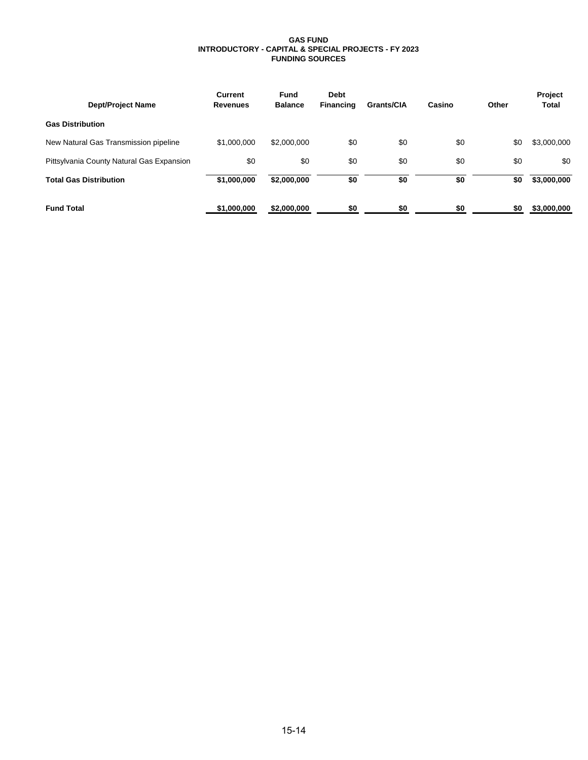#### **GAS FUND INTRODUCTORY - CAPITAL & SPECIAL PROJECTS - FY 2023 FUNDING SOURCES**

| <b>Dept/Project Name</b>                  | Current<br><b>Revenues</b> | Fund<br><b>Balance</b> | <b>Debt</b><br>Financing | <b>Grants/CIA</b> | Casino | Other | <b>Project</b><br><b>Total</b> |
|-------------------------------------------|----------------------------|------------------------|--------------------------|-------------------|--------|-------|--------------------------------|
| <b>Gas Distribution</b>                   |                            |                        |                          |                   |        |       |                                |
| New Natural Gas Transmission pipeline     | \$1,000,000                | \$2,000,000            | \$0                      | \$0               | \$0    | \$0   | \$3,000,000                    |
| Pittsylvania County Natural Gas Expansion | \$0                        | \$0                    | \$0                      | \$0               | \$0    | \$0   | \$0                            |
| <b>Total Gas Distribution</b>             | \$1,000,000                | \$2,000,000            | \$0                      | \$0               | \$0    | \$0   | \$3,000,000                    |
| <b>Fund Total</b>                         | \$1,000,000                | \$2,000,000            | \$0                      | \$0               | \$0    | \$0   | \$3,000,000                    |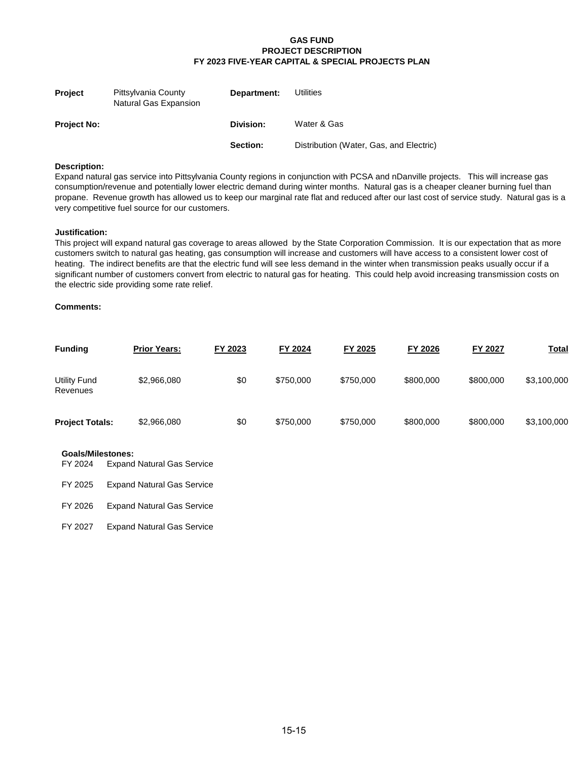#### **GAS FUND PROJECT DESCRIPTION FY 2023 FIVE-YEAR CAPITAL & SPECIAL PROJECTS PLAN**

| <b>Project</b>     | Pittsylvania County<br>Natural Gas Expansion | Department: | <b>Utilities</b>                        |
|--------------------|----------------------------------------------|-------------|-----------------------------------------|
| <b>Project No:</b> |                                              | Division:   | Water & Gas                             |
|                    |                                              | Section:    | Distribution (Water, Gas, and Electric) |

#### **Description:**

Expand natural gas service into Pittsylvania County regions in conjunction with PCSA and nDanville projects. This will increase gas consumption/revenue and potentially lower electric demand during winter months. Natural gas is a cheaper cleaner burning fuel than propane. Revenue growth has allowed us to keep our marginal rate flat and reduced after our last cost of service study. Natural gas is a very competitive fuel source for our customers.

#### **Justification:**

This project will expand natural gas coverage to areas allowed by the State Corporation Commission. It is our expectation that as more customers switch to natural gas heating, gas consumption will increase and customers will have access to a consistent lower cost of heating. The indirect benefits are that the electric fund will see less demand in the winter when transmission peaks usually occur if a significant number of customers convert from electric to natural gas for heating. This could help avoid increasing transmission costs on the electric side providing some rate relief.

#### **Comments:**

| <b>Funding</b>                  | <b>Prior Years:</b> | FY 2023 | FY 2024   | FY 2025   | FY 2026   | <b>FY 2027</b> | <u>Total</u> |
|---------------------------------|---------------------|---------|-----------|-----------|-----------|----------------|--------------|
| <b>Utility Fund</b><br>Revenues | \$2,966,080         | \$0     | \$750,000 | \$750,000 | \$800,000 | \$800,000      | \$3,100,000  |
| <b>Project Totals:</b>          | \$2,966,080         | \$0     | \$750,000 | \$750,000 | \$800,000 | \$800,000      | \$3,100,000  |

#### **Goals/Milestones:**

| FY 2025 | <b>Expand Natural Gas Service</b> |  |
|---------|-----------------------------------|--|
|---------|-----------------------------------|--|

FY 2026 Expand Natural Gas Service

FY 2027 Expand Natural Gas Service